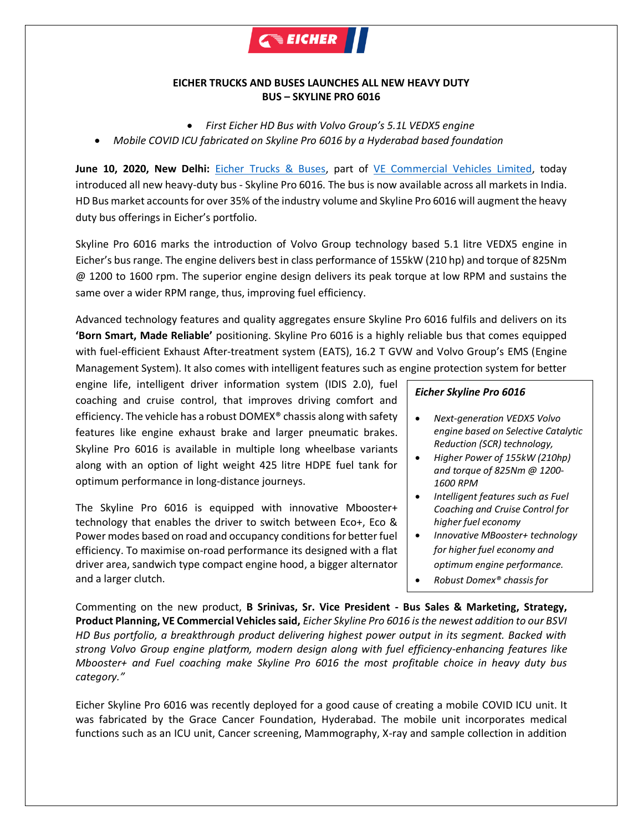

## **EICHER TRUCKS AND BUSES LAUNCHES ALL NEW HEAVY DUTY BUS – SKYLINE PRO 6016**

- *First Eicher HD Bus with Volvo Group's 5.1L VEDX5 engine*
- *Mobile COVID ICU fabricated on Skyline Pro 6016 by a Hyderabad based foundation*

**June 10, 2020, New Delhi:** [Eicher Trucks & Buses,](http://www.eicher.in/etb/) part of [VE Commercial Vehicles Limited,](http://www.vecv.in/) today introduced all new heavy-duty bus - Skyline Pro 6016. The bus is now available across all markets in India. HD Bus market accounts for over 35% of the industry volume and Skyline Pro 6016 will augment the heavy duty bus offerings in Eicher's portfolio.

Skyline Pro 6016 marks the introduction of Volvo Group technology based 5.1 litre VEDX5 engine in Eicher's bus range. The engine delivers best in class performance of 155kW (210 hp) and torque of 825Nm @ 1200 to 1600 rpm. The superior engine design delivers its peak torque at low RPM and sustains the same over a wider RPM range, thus, improving fuel efficiency.

Advanced technology features and quality aggregates ensure Skyline Pro 6016 fulfils and delivers on its **'Born Smart, Made Reliable'** positioning. Skyline Pro 6016 is a highly reliable bus that comes equipped with fuel-efficient Exhaust After-treatment system (EATS), 16.2 T GVW and Volvo Group's EMS (Engine Management System). It also comes with intelligent features such as engine protection system for better

engine life, intelligent driver information system (IDIS 2.0), fuel coaching and cruise control, that improves driving comfort and efficiency. The vehicle has a robust DOMEX® chassis along with safety features like engine exhaust brake and larger pneumatic brakes. Skyline Pro 6016 is available in multiple long wheelbase variants along with an option of light weight 425 litre HDPE fuel tank for optimum performance in long-distance journeys.

The Skyline Pro 6016 is equipped with innovative Mbooster+ technology that enables the driver to switch between Eco+, Eco & Power modes based on road and occupancy conditions for better fuel efficiency. To maximise on-road performance its designed with a flat driver area, sandwich type compact engine hood, a bigger alternator and a larger clutch.

## *Eicher Skyline Pro 6016*

- *Next-generation VEDX5 Volvo engine based on Selective Catalytic Reduction (SCR) technology,*
- *Higher Power of 155kW (210hp) and torque of 825Nm @ 1200- 1600 RPM*
- *Intelligent features such as Fuel Coaching and Cruise Control for higher fuel economy*
- *Innovative MBooster+ technology for higher fuel economy and optimum engine performance.*
- *Robust Domex® chassis for*

*durability*

Commenting on the new product, **B Srinivas, Sr. Vice President - Bus Sales & Marketing, Strategy, Product Planning, VE Commercial Vehicles said,** *Eicher Skyline Pro 6016 is the newest addition to our BSVI HD Bus portfolio, a breakthrough product delivering highest power output in its segment. Backed with strong Volvo Group engine platform, modern design along with fuel efficiency-enhancing features like Mbooster+ and Fuel coaching make Skyline Pro 6016 the most profitable choice in heavy duty bus category."* 

Eicher Skyline Pro 6016 was recently deployed for a good cause of creating a mobile COVID ICU unit. It was fabricated by the Grace Cancer Foundation, Hyderabad. The mobile unit incorporates medical functions such as an ICU unit, Cancer screening, Mammography, X-ray and sample collection in addition